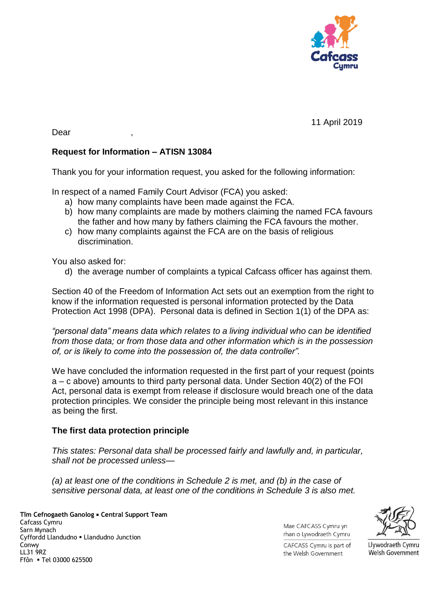

11 April 2019

Dear ,

## **Request for Information – ATISN 13084**

Thank you for your information request, you asked for the following information:

In respect of a named Family Court Advisor (FCA) you asked:

- a) how many complaints have been made against the FCA.
- b) how many complaints are made by mothers claiming the named FCA favours the father and how many by fathers claiming the FCA favours the mother.
- c) how many complaints against the FCA are on the basis of religious discrimination.

You also asked for:

d) the average number of complaints a typical Cafcass officer has against them.

Section 40 of the Freedom of Information Act sets out an exemption from the right to know if the information requested is personal information protected by the Data Protection Act 1998 (DPA). Personal data is defined in Section 1(1) of the DPA as:

*"personal data" means data which relates to a living individual who can be identified from those data; or from those data and other information which is in the possession of, or is likely to come into the possession of, the data controller".*

We have concluded the information requested in the first part of your request (points a – c above) amounts to third party personal data. Under Section 40(2) of the FOI Act, personal data is exempt from release if disclosure would breach one of the data protection principles. We consider the principle being most relevant in this instance as being the first.

## **The first data protection principle**

*This states: Personal data shall be processed fairly and lawfully and, in particular, shall not be processed unless—*

*(a) at least one of the conditions in Schedule 2 is met, and (b) in the case of sensitive personal data, at least one of the conditions in Schedule 3 is also met.*

**Tîm Cefnogaeth Ganolog Central Support Team**  Cafcass Cymru Sarn Mynach Cyffordd Llandudno Llandudno Junction Conwy LL31 9RZ Ffôn Tel 03000 625500

Mae CAFCASS Cymru yn rhan o Lywodraeth Cymru



CAFCASS Cymru is part of the Welsh Government

Llywodraeth Cymru **Welsh Government**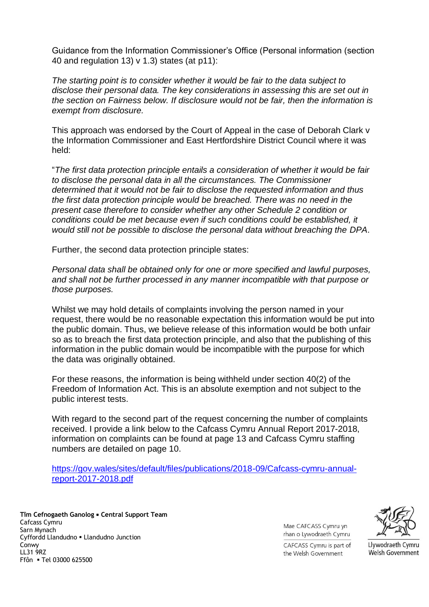Guidance from the Information Commissioner's Office (Personal information (section 40 and regulation 13) v 1.3) states (at p11):

*The starting point is to consider whether it would be fair to the data subject to disclose their personal data. The key considerations in assessing this are set out in the section on Fairness below. If disclosure would not be fair, then the information is exempt from disclosure.* 

This approach was endorsed by the Court of Appeal in the case of Deborah Clark v the Information Commissioner and East Hertfordshire District Council where it was held:

"*The first data protection principle entails a consideration of whether it would be fair to disclose the personal data in all the circumstances. The Commissioner determined that it would not be fair to disclose the requested information and thus the first data protection principle would be breached. There was no need in the present case therefore to consider whether any other Schedule 2 condition or conditions could be met because even if such conditions could be established, it would still not be possible to disclose the personal data without breaching the DPA*.

Further, the second data protection principle states:

*Personal data shall be obtained only for one or more specified and lawful purposes, and shall not be further processed in any manner incompatible with that purpose or those purposes.*

Whilst we may hold details of complaints involving the person named in your request, there would be no reasonable expectation this information would be put into the public domain. Thus, we believe release of this information would be both unfair so as to breach the first data protection principle, and also that the publishing of this information in the public domain would be incompatible with the purpose for which the data was originally obtained.

For these reasons, the information is being withheld under section 40(2) of the Freedom of Information Act. This is an absolute exemption and not subject to the public interest tests.

With regard to the second part of the request concerning the number of complaints received. I provide a link below to the Cafcass Cymru Annual Report 2017-2018, information on complaints can be found at page 13 and Cafcass Cymru staffing numbers are detailed on page 10.

[https://gov.wales/sites/default/files/publications/2018-09/Cafcass-cymru-annual](https://gov.wales/sites/default/files/publications/2018-09/Cafcass-cymru-annual-report-2017-2018.pdf)[report-2017-2018.pdf](https://gov.wales/sites/default/files/publications/2018-09/Cafcass-cymru-annual-report-2017-2018.pdf)

**Tîm Cefnogaeth Ganolog Central Support Team**  Cafcass Cymru Sarn Mynach Cyffordd Llandudno Llandudno Junction Conwy LL31 9RZ Ffôn Tel 03000 625500

Mae CAFCASS Cymru yn rhan o Lywodraeth Cymru



CAFCASS Cymru is part of the Welsh Government

Llywodraeth Cymru Welsh Government